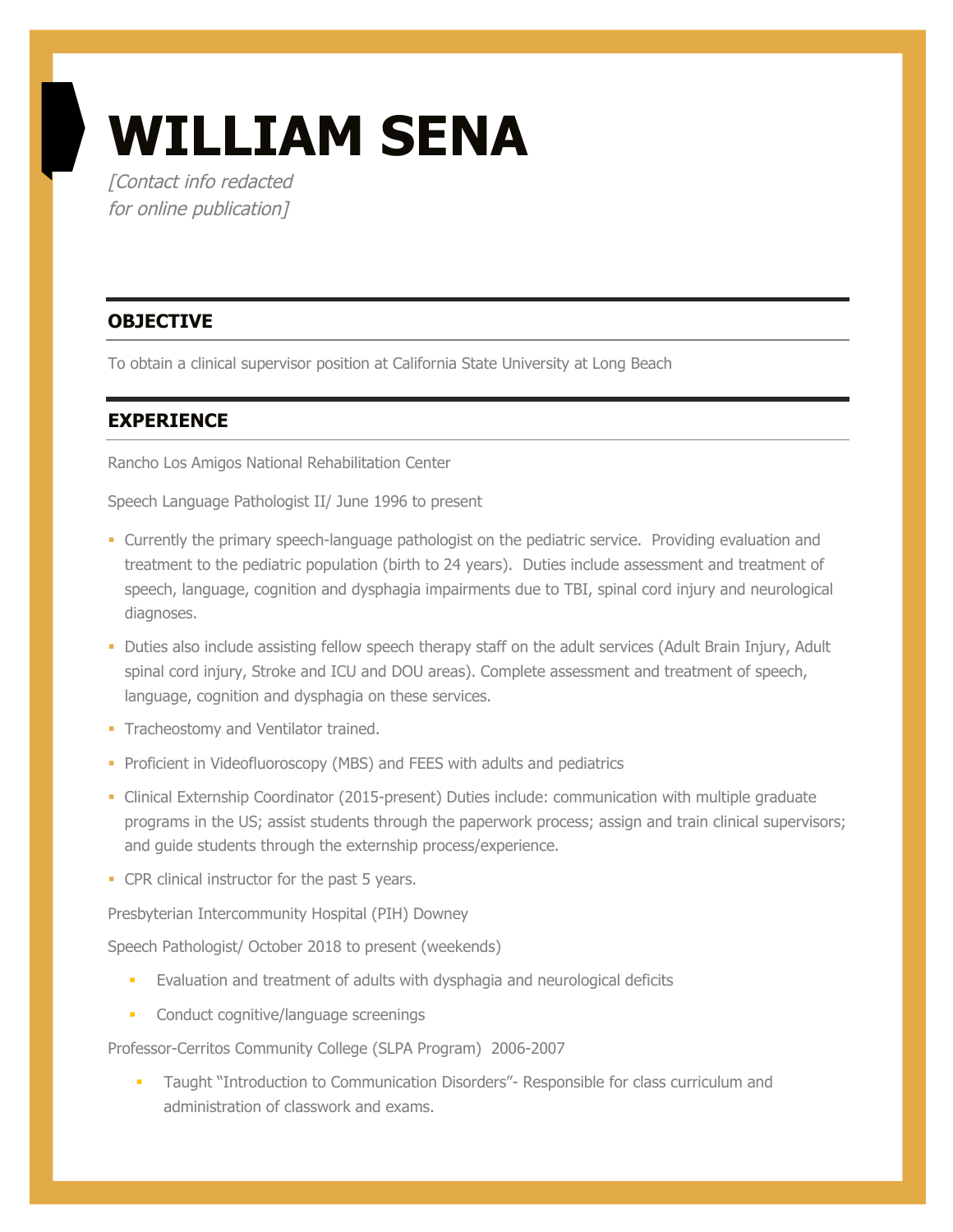# **WILLIAM SENA**

[Contact info redacted for online publication]

## **OBJECTIVE**

To obtain a clinical supervisor position at California State University at Long Beach

#### **EXPERIENCE**

Rancho Los Amigos National Rehabilitation Center

Speech Language Pathologist II/ June 1996 to present

- § Currently the primary speech-language pathologist on the pediatric service. Providing evaluation and treatment to the pediatric population (birth to 24 years). Duties include assessment and treatment of speech, language, cognition and dysphagia impairments due to TBI, spinal cord injury and neurological diagnoses.
- § Duties also include assisting fellow speech therapy staff on the adult services (Adult Brain Injury, Adult spinal cord injury, Stroke and ICU and DOU areas). Complete assessment and treatment of speech, language, cognition and dysphagia on these services.
- Tracheostomy and Ventilator trained.
- Proficient in Videofluoroscopy (MBS) and FEES with adults and pediatrics
- Clinical Externship Coordinator (2015-present) Duties include: communication with multiple graduate programs in the US; assist students through the paperwork process; assign and train clinical supervisors; and guide students through the externship process/experience.
- CPR clinical instructor for the past 5 years.

Presbyterian Intercommunity Hospital (PIH) Downey

Speech Pathologist/ October 2018 to present (weekends)

- **•** Evaluation and treatment of adults with dysphagia and neurological deficits
- **•** Conduct cognitive/language screenings

Professor-Cerritos Community College (SLPA Program) 2006-2007

§ Taught "Introduction to Communication Disorders"- Responsible for class curriculum and administration of classwork and exams.